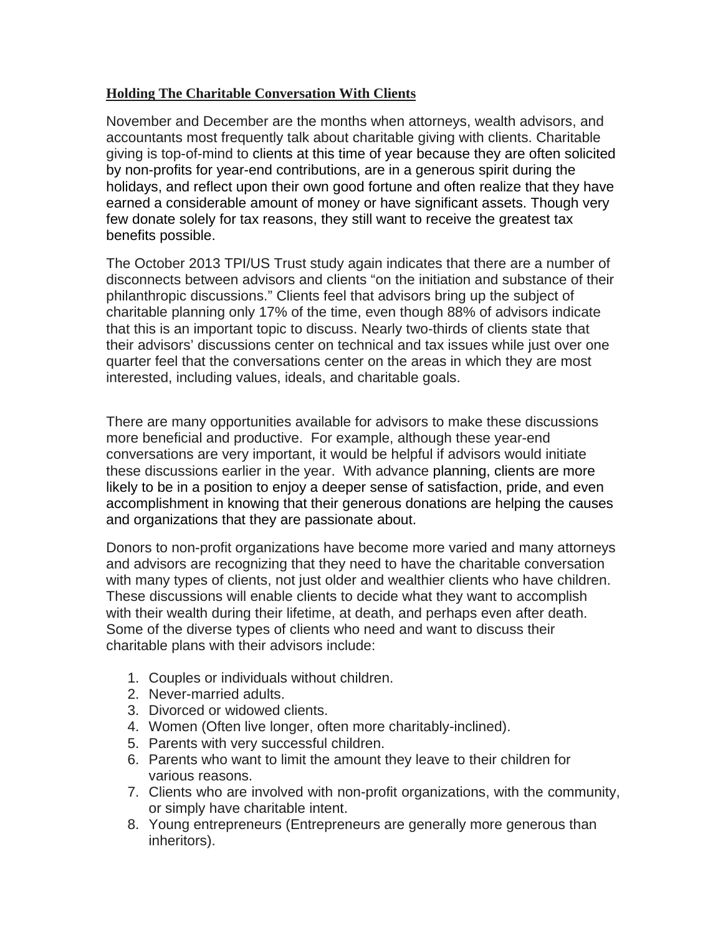## **Holding The Charitable Conversation With Clients**

November and December are the months when attorneys, wealth advisors, and accountants most frequently talk about charitable giving with clients. Charitable giving is top-of-mind to clients at this time of year because they are often solicited by non-profits for year-end contributions, are in a generous spirit during the holidays, and reflect upon their own good fortune and often realize that they have earned a considerable amount of money or have significant assets. Though very few donate solely for tax reasons, they still want to receive the greatest tax benefits possible.

The October 2013 TPI/US Trust study again indicates that there are a number of disconnects between advisors and clients "on the initiation and substance of their philanthropic discussions." Clients feel that advisors bring up the subject of charitable planning only 17% of the time, even though 88% of advisors indicate that this is an important topic to discuss. Nearly two-thirds of clients state that their advisors' discussions center on technical and tax issues while just over one quarter feel that the conversations center on the areas in which they are most interested, including values, ideals, and charitable goals.

There are many opportunities available for advisors to make these discussions more beneficial and productive. For example, although these year-end conversations are very important, it would be helpful if advisors would initiate these discussions earlier in the year. With advance planning, clients are more likely to be in a position to enjoy a deeper sense of satisfaction, pride, and even accomplishment in knowing that their generous donations are helping the causes and organizations that they are passionate about.

Donors to non-profit organizations have become more varied and many attorneys and advisors are recognizing that they need to have the charitable conversation with many types of clients, not just older and wealthier clients who have children. These discussions will enable clients to decide what they want to accomplish with their wealth during their lifetime, at death, and perhaps even after death. Some of the diverse types of clients who need and want to discuss their charitable plans with their advisors include:

- 1. Couples or individuals without children.
- 2. Never-married adults.
- 3. Divorced or widowed clients.
- 4. Women (Often live longer, often more charitably-inclined).
- 5. Parents with very successful children.
- 6. Parents who want to limit the amount they leave to their children for various reasons.
- 7. Clients who are involved with non-profit organizations, with the community, or simply have charitable intent.
- 8. Young entrepreneurs (Entrepreneurs are generally more generous than inheritors).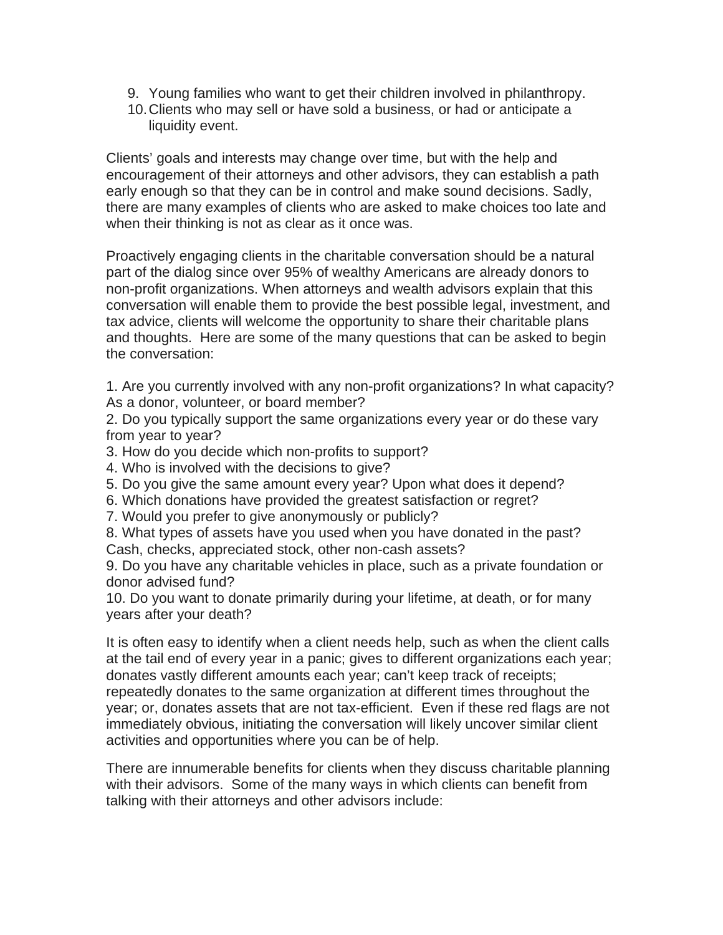- 9. Young families who want to get their children involved in philanthropy.
- 10.Clients who may sell or have sold a business, or had or anticipate a liquidity event.

Clients' goals and interests may change over time, but with the help and encouragement of their attorneys and other advisors, they can establish a path early enough so that they can be in control and make sound decisions. Sadly, there are many examples of clients who are asked to make choices too late and when their thinking is not as clear as it once was.

Proactively engaging clients in the charitable conversation should be a natural part of the dialog since over 95% of wealthy Americans are already donors to non-profit organizations. When attorneys and wealth advisors explain that this conversation will enable them to provide the best possible legal, investment, and tax advice, clients will welcome the opportunity to share their charitable plans and thoughts. Here are some of the many questions that can be asked to begin the conversation:

1. Are you currently involved with any non-profit organizations? In what capacity? As a donor, volunteer, or board member?

2. Do you typically support the same organizations every year or do these vary from year to year?

3. How do you decide which non-profits to support?

- 4. Who is involved with the decisions to give?
- 5. Do you give the same amount every year? Upon what does it depend?
- 6. Which donations have provided the greatest satisfaction or regret?
- 7. Would you prefer to give anonymously or publicly?

8. What types of assets have you used when you have donated in the past? Cash, checks, appreciated stock, other non-cash assets?

9. Do you have any charitable vehicles in place, such as a private foundation or donor advised fund?

10. Do you want to donate primarily during your lifetime, at death, or for many years after your death?

It is often easy to identify when a client needs help, such as when the client calls at the tail end of every year in a panic; gives to different organizations each year; donates vastly different amounts each year; can't keep track of receipts; repeatedly donates to the same organization at different times throughout the year; or, donates assets that are not tax-efficient. Even if these red flags are not immediately obvious, initiating the conversation will likely uncover similar client activities and opportunities where you can be of help.

There are innumerable benefits for clients when they discuss charitable planning with their advisors. Some of the many ways in which clients can benefit from talking with their attorneys and other advisors include: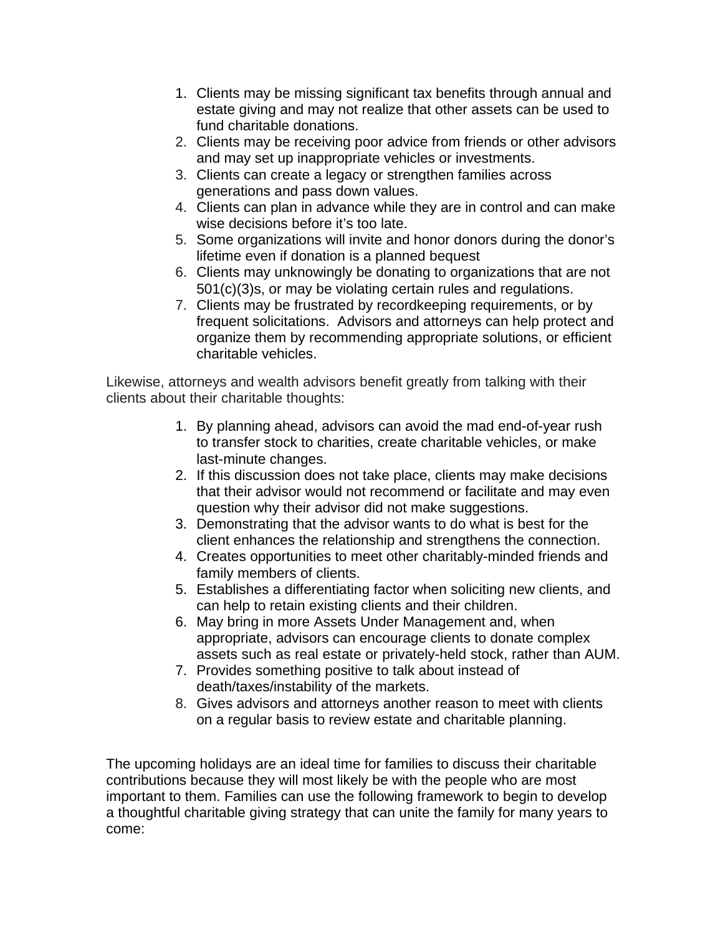- 1. Clients may be missing significant tax benefits through annual and estate giving and may not realize that other assets can be used to fund charitable donations.
- 2. Clients may be receiving poor advice from friends or other advisors and may set up inappropriate vehicles or investments.
- 3. Clients can create a legacy or strengthen families across generations and pass down values.
- 4. Clients can plan in advance while they are in control and can make wise decisions before it's too late.
- 5. Some organizations will invite and honor donors during the donor's lifetime even if donation is a planned bequest
- 6. Clients may unknowingly be donating to organizations that are not 501(c)(3)s, or may be violating certain rules and regulations.
- 7. Clients may be frustrated by recordkeeping requirements, or by frequent solicitations. Advisors and attorneys can help protect and organize them by recommending appropriate solutions, or efficient charitable vehicles.

Likewise, attorneys and wealth advisors benefit greatly from talking with their clients about their charitable thoughts:

- 1. By planning ahead, advisors can avoid the mad end-of-year rush to transfer stock to charities, create charitable vehicles, or make last-minute changes.
- 2. If this discussion does not take place, clients may make decisions that their advisor would not recommend or facilitate and may even question why their advisor did not make suggestions.
- 3. Demonstrating that the advisor wants to do what is best for the client enhances the relationship and strengthens the connection.
- 4. Creates opportunities to meet other charitably-minded friends and family members of clients.
- 5. Establishes a differentiating factor when soliciting new clients, and can help to retain existing clients and their children.
- 6. May bring in more Assets Under Management and, when appropriate, advisors can encourage clients to donate complex assets such as real estate or privately-held stock, rather than AUM.
- 7. Provides something positive to talk about instead of death/taxes/instability of the markets.
- 8. Gives advisors and attorneys another reason to meet with clients on a regular basis to review estate and charitable planning.

The upcoming holidays are an ideal time for families to discuss their charitable contributions because they will most likely be with the people who are most important to them. Families can use the following framework to begin to develop a thoughtful charitable giving strategy that can unite the family for many years to come: